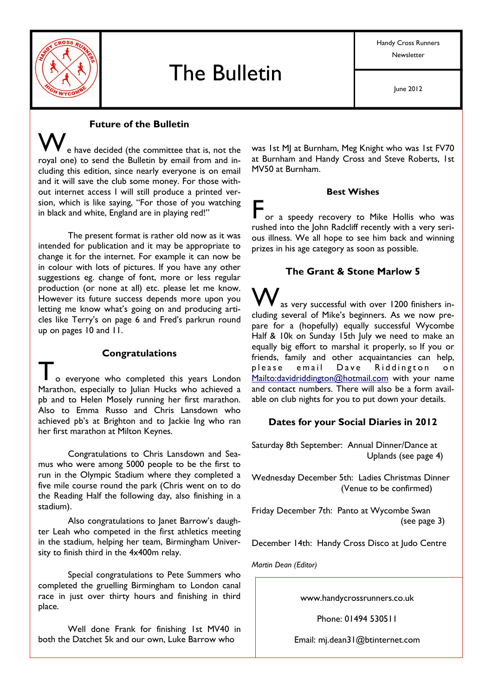

Handy Cross Runners Newsletter

## **Future of the Bulletin**

e have decided (the committee that is, not the royal one) to send the Bulletin by email from and including this edition, since nearly everyone is on email and it will save the club some money. For those without internet access I will still produce a printed version, which is like saying, "For those of you watching in black and white, England are in playing red!"

The present format is rather old now as it was intended for publication and it may be appropriate to change it for the internet. For example it can now be in colour with lots of pictures. If you have any other suggestions eg. change of font, more or less regular production (or none at all) etc. please let me know. However its future success depends more upon you letting me know what's going on and producing articles like Terry's on page 6 and Fred's parkrun round up on pages 10 and 11.

#### **Congratulations**

o everyone who completed this years London Marathon, especially to Julian Hucks who achieved a pb and to Helen Mosely running her first marathon. Also to Emma Russo and Chris Lansdown who achieved pb's at Brighton and to lackie lng who ran her first marathon at Milton Keynes.

Congratulations to Chris Lansdown and Seamus who were among 5000 people to be the first to run in the Olympic Stadium where they completed a five mile course round the park (Chris went on to do the Reading Half the following day, also finishing in a stadium).

Also congratulations to Janet Barrow's daughter Leah who competed in the first athletics meeting in the stadium, helping her team, Birmingham University to finish third in the 4x400m relay.

Special congratulations to Pete Summers who completed the gruelling Birmingham to London canal race in just over thirty hours and finishing in third place.

Well done Frank for finishing 1st MV40 in both the Datchet 5k and our own. Luke Barrow who

was 1st MJ at Burnham, Meg Knight who was 1st FV70 at Burnham and Handy Cross and Steve Roberts, 1st MV50 at Burnham.

#### **Best Wishes**

Tor a speedy recovery to Mike Hollis who was rushed into the John Radcliff recently with a very serious illness. We all hope to see him back and winning prizes in his age category as soon as possible.

#### The Grant & Stone Marlow 5

as very successful with over 1200 finishers including several of Mike's beginners. As we now prepare for a (hopefully) equally successful Wycombe Half & 10k on Sunday 15th July we need to make an equally big effort to marshal it properly, so If you or friends, family and other acquaintancies can help, please  $email$  $D$ ave Riddington  $\mathsf{on}$ Mailto: davidriddington@hotmail.com with your name and contact numbers. There will also be a form available on club nights for you to put down your details.

#### Dates for your Social Diaries in 2012

Saturday 8th September: Annual Dinner/Dance at Uplands (see page 4)

Wednesday December 5th: Ladies Christmas Dinner (Venue to be confirmed)

Friday December 7th: Panto at Wycombe Swan  $(see page 3)$ 

December 14th: Handy Cross Disco at Judo Centre

Martin Dean (Editor)

www.handycrossrunners.co.uk

Phone: 01494 530511

Email: mj.dean3 | @btinternet.com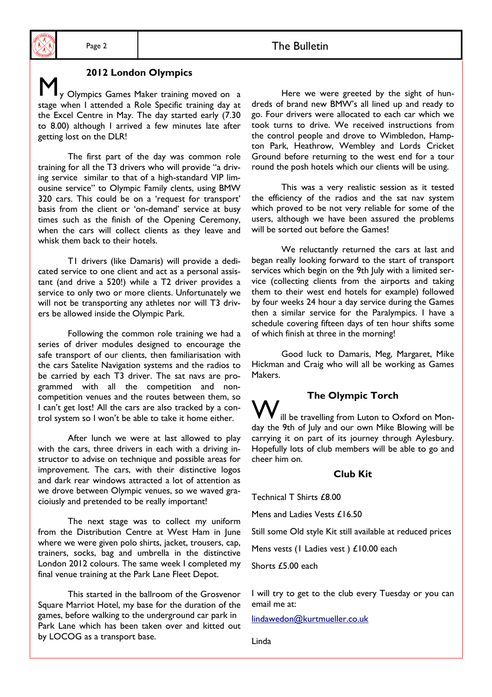## 2012 London Olympics

y Olympics Games Maker training moved on a stage when I attended a Role Specific training day at the Excel Centre in May. The day started early (7.30 to 8.00) although I arrived a few minutes late after getting lost on the DLR!

The first part of the day was common role training for all the T3 drivers who will provide "a driving service similar to that of a high-standard VIP limousine service" to Olympic Family clents, using BMW 320 cars. This could be on a 'request for transport' basis from the client or 'on-demand' service at busy times such as the finish of the Opening Ceremony, when the cars will collect clients as they leave and whisk them back to their hotels.

TI drivers (like Damaris) will provide a dedicated service to one client and act as a personal assistant (and drive a 520!) while a T2 driver provides a service to only two or more clients. Unfortunately we will not be transporting any athletes nor will T3 drivers be allowed inside the Olympic Park.

Following the common role training we had a series of driver modules designed to encourage the safe transport of our clients, then familiarisation with the cars Satelite Navigation systems and the radios to be carried by each T3 driver. The sat navs are programmed with all the competition and noncompetition venues and the routes between them, so I can't get lost! All the cars are also tracked by a control system so I won't be able to take it home either.

After lunch we were at last allowed to play with the cars, three drivers in each with a driving instructor to advise on technique and possible areas for improvement. The cars, with their distinctive logos and dark rear windows attracted a lot of attention as we drove between Olympic venues, so we waved gracioiusly and pretended to be really important!

The next stage was to collect my uniform from the Distribution Centre at West Ham in June where we were given polo shirts, jacket, trousers, cap, trainers, socks, bag and umbrella in the distinctive London 2012 colours. The same week I completed my final venue training at the Park Lane Fleet Depot.

This started in the ballroom of the Grosvenor Square Marriot Hotel, my base for the duration of the games, before walking to the underground car park in Park Lane which has been taken over and kitted out by LOCOG as a transport base.

Here we were greeted by the sight of hundreds of brand new BMW's all lined up and ready to go. Four drivers were allocated to each car which we took turns to drive. We received instructions from the control people and drove to Wimbledon, Hampton Park, Heathrow, Wembley and Lords Cricket Ground before returning to the west end for a tour round the posh hotels which our clients will be using.

This was a very realistic session as it tested the efficiency of the radios and the sat nay system which proved to be not very reliable for some of the users, although we have been assured the problems will be sorted out before the Games!

We reluctantly returned the cars at last and began really looking forward to the start of transport services which begin on the 9th July with a limited service (collecting clients from the airports and taking them to their west end hotels for example) followed by four weeks 24 hour a day service during the Games then a similar service for the Paralympics. I have a schedule covering fifteen days of ten hour shifts some of which finish at three in the morning!

Good luck to Damaris, Meg, Margaret, Mike Hickman and Craig who will all be working as Games Makers.

**The Olympic Torch** ill be travelling from Luton to Oxford on Monday the 9th of July and our own Mike Blowing will be carrying it on part of its journey through Aylesbury. Hopefully lots of club members will be able to go and cheer him on

#### Club Kit

Technical T Shirts £8.00

Mens and Ladies Vests £16.50

Still some Old style Kit still available at reduced prices

Mens vests (1 Ladies vest) £10.00 each

Shorts £5.00 each

I will try to get to the club every Tuesday or you can email me at:

lindawedon@kurtmueller.co.uk

Linda

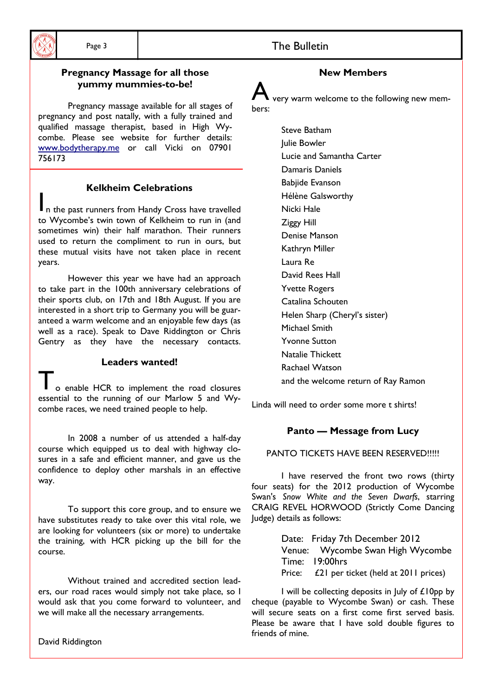

## **Pregnancy Massage for all those**

#### yummy mummies-to-be!

Pregnancy massage available for all stages of pregnancy and post natally, with a fully trained and qualified massage therapist, based in High Wycombe. Please see website for further details: www.bodytherapy.me or call Vicki on 07901 756173

### **Kelkheim Celebrations**

In the past runners from Handy Cross have travelled to Wycombe's twin town of Kelkheim to run in (and sometimes win) their half marathon. Their runners used to return the compliment to run in ours, but these mutual visits have not taken place in recent years.

However this year we have had an approach to take part in the 100th anniversary celebrations of their sports club, on 17th and 18th August. If you are interested in a short trip to Germany you will be guaranteed a warm welcome and an enjoyable few days (as well as a race). Speak to Dave Riddington or Chris Gentry as they have the necessary contacts.

#### Leaders wanted!

o enable HCR to implement the road closures essential to the running of our Marlow 5 and Wycombe races, we need trained people to help.

In 2008 a number of us attended a half-day course which equipped us to deal with highway closures in a safe and efficient manner, and gave us the confidence to deploy other marshals in an effective way.

To support this core group, and to ensure we have substitutes ready to take over this vital role, we are looking for volunteers (six or more) to undertake the training, with HCR picking up the bill for the course.

Without trained and accredited section leaders, our road races would simply not take place, so I would ask that you come forward to volunteer, and we will make all the necessary arrangements.

David Riddington

## **New Members**

The Bulletin

very warm welcome to the following new members:

> Steve Batham **Iulie Bowler** Lucie and Samantha Carter Damaris Daniels **Babiide Evanson** Hélène Galsworthy Nicki Hale **Ziggy Hill** Denise Manson Kathryn Miller Laura Re David Rees Hall **Yvette Rogers** Catalina Schouten Helen Sharp (Cheryl's sister) Michael Smith **Yvonne Sutton** Natalie Thickett Rachael Watson and the welcome return of Ray Ramon

Linda will need to order some more t shirts!

## Panto - Message from Lucy

#### PANTO TICKFTS HAVE BEEN RESERVED!!!!!

I have reserved the front two rows (thirty four seats) for the 2012 production of Wycombe Swan's Snow White and the Seven Dwarfs, starring CRAIG REVEL HORWOOD (Strictly Come Dancing ludge) details as follows:

> Date: Friday 7th December 2012 Venue: Wycombe Swan High Wycombe Time: 19:00hrs Price: £21 per ticket (held at 2011 prices)

I will be collecting deposits in July of £10pp by cheque (payable to Wycombe Swan) or cash. These will secure seats on a first come first served basis. Please be aware that I have sold double figures to friends of mine.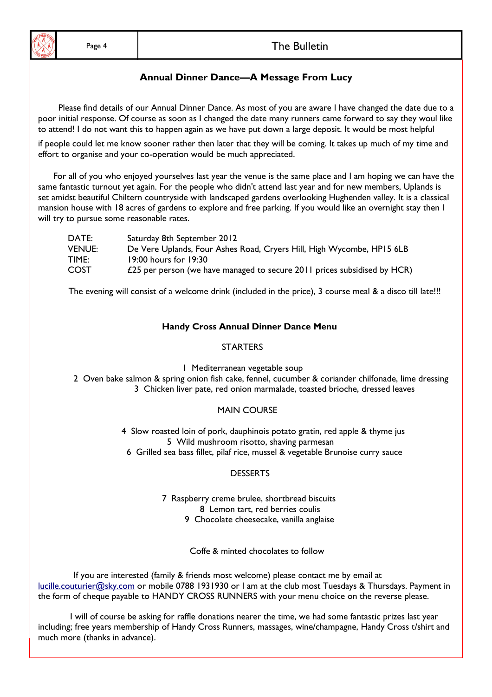#### **Annual Dinner Dance-A Message From Lucy**

Please find details of our Annual Dinner Dance. As most of you are aware I have changed the date due to a poor initial response. Of course as soon as I changed the date many runners came forward to say they woul like to attend! I do not want this to happen again as we have put down a large deposit. It would be most helpful

if people could let me know sooner rather then later that they will be coming. It takes up much of my time and effort to organise and your co-operation would be much appreciated.

For all of you who enjoyed yourselves last year the venue is the same place and I am hoping we can have the same fantastic turnout yet again. For the people who didn't attend last year and for new members, Uplands is set amidst beautiful Chiltern countryside with landscaped gardens overlooking Hughenden valley. It is a classical mansion house with 18 acres of gardens to explore and free parking. If you would like an overnight stay then I will try to pursue some reasonable rates.

| DATE:         | Saturday 8th September 2012                                              |
|---------------|--------------------------------------------------------------------------|
| <b>VENUE:</b> | De Vere Uplands, Four Ashes Road, Cryers Hill, High Wycombe, HP15 6LB    |
| TIME:         | 19:00 hours for 19:30                                                    |
| <b>COST</b>   | £25 per person (we have managed to secure 2011 prices subsidised by HCR) |

The evening will consist of a welcome drink (included in the price), 3 course meal & a disco till late!!!

#### **Handy Cross Annual Dinner Dance Menu**

#### **STARTFRS**

I Mediterranean vegetable soup

2 Oven bake salmon & spring onion fish cake, fennel, cucumber & coriander chilfonade, lime dressing 3 Chicken liver pate, red onion marmalade, toasted brioche, dressed leaves

#### **MAIN COURSE**

4 Slow roasted loin of pork, dauphinois potato gratin, red apple & thyme jus 5 Wild mushroom risotto, shaving parmesan

6 Grilled sea bass fillet, pilaf rice, mussel & vegetable Brunoise curry sauce

#### **DESSERTS**

7 Raspberry creme brulee, shortbread biscuits 8 Lemon tart, red berries coulis

9 Chocolate cheesecake, vanilla anglaise

Coffe & minted chocolates to follow

If you are interested (family & friends most welcome) please contact me by email at lucille.couturier@sky.com or mobile 0788 1931930 or I am at the club most Tuesdays & Thursdays. Payment in the form of cheque payable to HANDY CROSS RUNNERS with your menu choice on the reverse please.

I will of course be asking for raffle donations nearer the time, we had some fantastic prizes last year including; free years membership of Handy Cross Runners, massages, wine/champagne, Handy Cross t/shirt and much more (thanks in advance).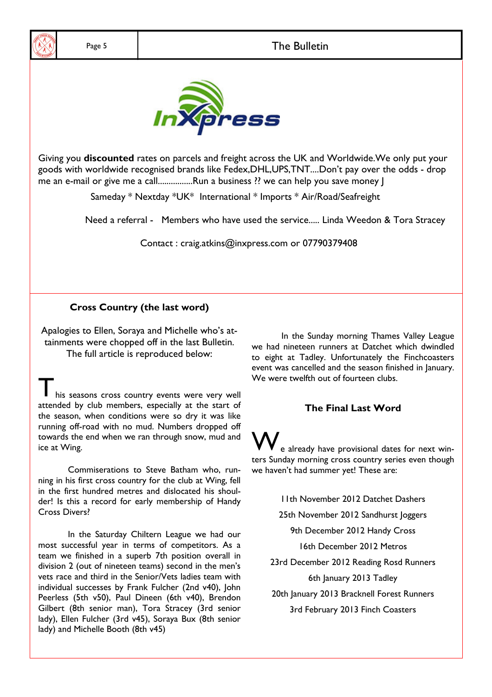

Giving you discounted rates on parcels and freight across the UK and Worldwide. We only put your goods with worldwide recognised brands like Fedex, DHL, UPS, TNT....Don't pay over the odds - drop me an e-mail or give me a call................Run a business ?? we can help you save money |

Sameday \* Nextday \*UK\* International \* Imports \* Air/Road/Seafreight

Need a referral - Members who have used the service..... Linda Weedon & Tora Stracey

Contact: craig.atkins@inxpress.com or 07790379408

#### **Cross Country (the last word)**

Apalogies to Ellen, Soraya and Michelle who's attainments were chopped off in the last Bulletin. The full article is reproduced below:

his seasons cross country events were very well attended by club members, especially at the start of the season, when conditions were so dry it was like running off-road with no mud. Numbers dropped off towards the end when we ran through snow, mud and ice at Wing.

Commiserations to Steve Batham who, running in his first cross country for the club at Wing, fell in the first hundred metres and dislocated his shoulder! Is this a record for early membership of Handy **Cross Divers?** 

In the Saturday Chiltern League we had our most successful year in terms of competitors. As a team we finished in a superb 7th position overall in division 2 (out of nineteen teams) second in the men's vets race and third in the Senior/Vets ladies team with individual successes by Frank Fulcher (2nd v40), John Peerless (5th v50), Paul Dineen (6th v40), Brendon Gilbert (8th senior man), Tora Stracey (3rd senior lady), Ellen Fulcher (3rd v45), Soraya Bux (8th senior lady) and Michelle Booth (8th v45)

In the Sunday morning Thames Valley League we had nineteen runners at Datchet which dwindled to eight at Tadley. Unfortunately the Finchcoasters event was cancelled and the season finished in lanuary. We were twelfth out of fourteen clubs.

#### The Final Last Word

e already have provisional dates for next winters Sunday morning cross country series even though we haven't had summer yet! These are:

11th November 2012 Datchet Dashers

25th November 2012 Sandhurst Joggers

9th December 2012 Handy Cross

16th December 2012 Metros

23rd December 2012 Reading Rosd Runners 6th January 2013 Tadley

20th January 2013 Bracknell Forest Runners 3rd February 2013 Finch Coasters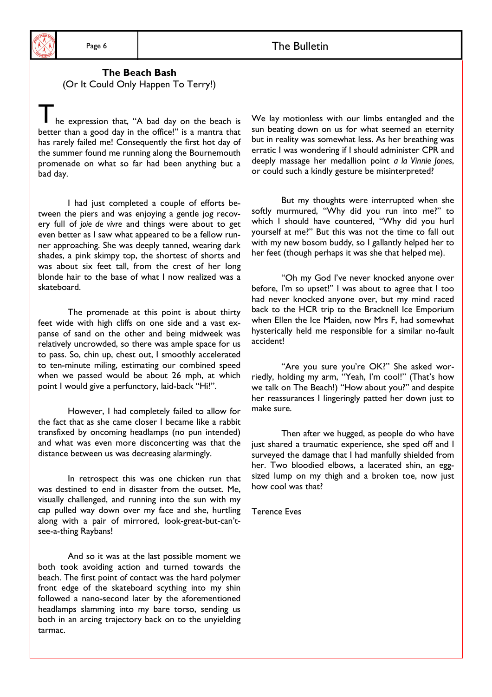#### The Beach Bash (Or It Could Only Happen To Terry!)

he expression that, "A bad day on the beach is better than a good day in the office!" is a mantra that has rarely failed me! Consequently the first hot day of the summer found me running along the Bournemouth promenade on what so far had been anything but a bad day.

I had just completed a couple of efforts between the piers and was enjoying a gentle jog recovery full of joie de vivre and things were about to get even better as I saw what appeared to be a fellow runner approaching. She was deeply tanned, wearing dark shades, a pink skimpy top, the shortest of shorts and was about six feet tall, from the crest of her long blonde hair to the base of what I now realized was a skateboard.

The promenade at this point is about thirty feet wide with high cliffs on one side and a vast expanse of sand on the other and being midweek was relatively uncrowded, so there was ample space for us to pass. So, chin up, chest out, I smoothly accelerated to ten-minute miling, estimating our combined speed when we passed would be about 26 mph, at which point I would give a perfunctory, laid-back "Hi!".

However, I had completely failed to allow for the fact that as she came closer I became like a rabbit transfixed by oncoming headlamps (no pun intended) and what was even more disconcerting was that the distance between us was decreasing alarmingly.

In retrospect this was one chicken run that was destined to end in disaster from the outset. Me, visually challenged, and running into the sun with my cap pulled way down over my face and she, hurtling along with a pair of mirrored, look-great-but-can'tsee-a-thing Raybans!

And so it was at the last possible moment we both took avoiding action and turned towards the beach. The first point of contact was the hard polymer front edge of the skateboard scything into my shin followed a nano-second later by the aforementioned headlamps slamming into my bare torso, sending us both in an arcing trajectory back on to the unyielding tarmac.

We lay motionless with our limbs entangled and the sun beating down on us for what seemed an eternity but in reality was somewhat less. As her breathing was erratic I was wondering if I should administer CPR and deeply massage her medallion point a la Vinnie Jones, or could such a kindly gesture be misinterpreted?

But my thoughts were interrupted when she softly murmured, "Why did you run into me?" to which I should have countered, "Why did you hurl yourself at me?" But this was not the time to fall out with my new bosom buddy, so I gallantly helped her to her feet (though perhaps it was she that helped me).

"Oh my God I've never knocked anyone over before, I'm so upset!" I was about to agree that I too had never knocked anyone over, but my mind raced back to the HCR trip to the Bracknell Ice Emporium when Ellen the Ice Maiden, now Mrs F, had somewhat hysterically held me responsible for a similar no-fault accident!

"Are you sure you're OK?" She asked worriedly, holding my arm, "Yeah, I'm cool!" (That's how we talk on The Beach!) "How about you?" and despite her reassurances I lingeringly patted her down just to make sure.

Then after we hugged, as people do who have just shared a traumatic experience, she sped off and I surveyed the damage that I had manfully shielded from her. Two bloodied elbows, a lacerated shin, an eggsized lump on my thigh and a broken toe, now just how cool was that?

**Terence Eves**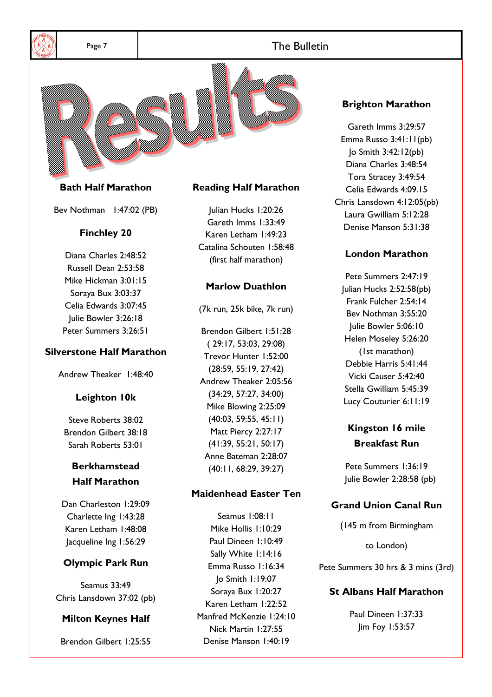

Page 7

### **The Bulletin**



### **Bath Half Marathon**

Bev Nothman 1:47:02 (PB)

#### **Finchley 20**

Diana Charles 2:48:52 Russell Dean 2:53:58 Mike Hickman 3:01:15 Soraya Bux 3:03:37 Celia Edwards 3:07:45 Julie Bowler 3:26:18 Peter Summers 3:26:51

#### **Silverstone Half Marathon**

Andrew Theaker 1:48:40

#### Leighton 10k

Steve Roberts 38:02 Brendon Gilbert 38:18 Sarah Roberts 53:01

## **Berkhamstead Half Marathon**

Dan Charleston 1:29:09 Charlette Ing 1:43:28 Karen Letham 1:48:08 Jacqueline Ing 1:56:29

#### **Olympic Park Run**

**Seamus 33:49** Chris Lansdown 37:02 (pb)

#### **Milton Keynes Half**

Brendon Gilbert 1:25:55

#### **Reading Half Marathon**

Julian Hucks 1:20:26 Gareth Imms 1:33:49 Karen Letham 1:49:23 Catalina Schouten 1:58:48 (first half marathon)

#### **Marlow Duathlon**

(7k run, 25k bike, 7k run)

Brendon Gilbert 1:51:28  $(29:17.53:03.29:08)$ Trevor Hunter 1:52:00  $(28:59, 55:19, 27:42)$ Andrew Theaker 2:05:56  $(34:29, 57:27, 34:00)$ Mike Blowing 2:25:09  $(40:03, 59:55, 45:11)$ Matt Piercy 2:27:17  $(41:39, 55:21, 50:17)$ Anne Bateman 2:28:07  $(40:11, 68:29, 39:27)$ 

#### **Maidenhead Easter Ten**

Seamus 1:08:11 Mike Hollis 1:10:29 Paul Dineen 1:10:49 Sally White 1:14:16 Emma Russo 1:16:34  $|o \text{ Smith } I$ :19:07 Soraya Bux 1:20:27 Karen Letham 1:22:52 Manfred McKenzie 1:24:10 Nick Martin 1:27:55 Denise Manson 1:40:19

#### **Brighton Marathon**

Gareth Imms 3:29:57 Emma Russo 3:41:11(pb) Jo Smith 3:42:12(pb) Diana Charles 3:48:54 Tora Stracey 3:49:54 Celia Edwards 4:09.15 Chris Lansdown 4:12:05(pb) Laura Gwilliam 5:12:28 Denise Manson 5:31:38

#### **London Marathon**

Pete Summers 2:47:19 Julian Hucks 2:52:58(pb) Frank Fulcher 2:54:14 Bev Nothman 3:55:20 Julie Bowler 5:06:10 Helen Moseley 5:26:20 (1st marathon) Debbie Harris 5:41:44 Vicki Causer 5:42:40 Stella Gwilliam 5:45:39 Lucy Couturier 6:11:19

## Kingston 16 mile **Breakfast Run**

Pete Summers 1:36:19 Julie Bowler 2:28:58 (pb)

#### **Grand Union Canal Run**

(145 m from Birmingham

to London)

Pete Summers 30 hrs & 3 mins (3rd)

#### **St Albans Half Marathon**

Paul Dineen 1:37:33 Jim Foy 1:53:57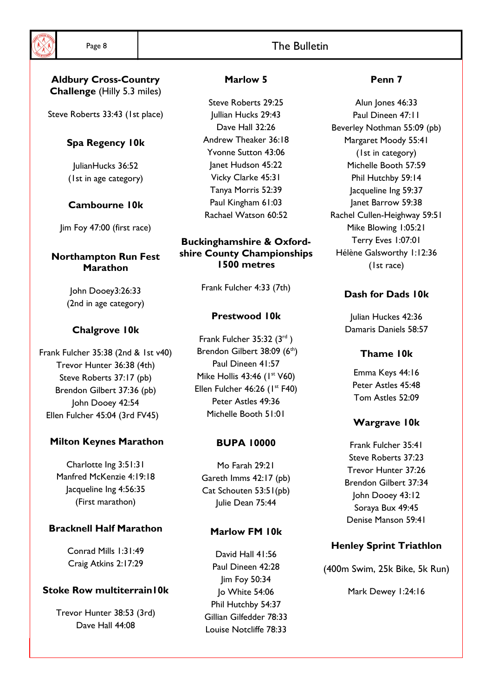#### **Aldbury Cross-Country Challenge (Hilly 5.3 miles)**

Steve Roberts 33:43 (1st place)

## Spa Regency 10k

JulianHucks 36:52 (1st in age category)

## Cambourne 10k

Jim Foy 47:00 (first race)

## **Northampton Run Fest Marathon**

John Dooey3:26:33 (2nd in age category)

## **Chalgrove 10k**

Frank Fulcher 35:38 (2nd & 1st v40) Trevor Hunter 36:38 (4th) Steve Roberts 37:17 (pb) Brendon Gilbert 37:36 (pb) John Dooey 42:54 Ellen Fulcher 45:04 (3rd FV45)

## **Milton Keynes Marathon**

Charlotte Ing 3:51:31 Manfred McKenzie 4:19:18 Jacqueline Ing 4:56:35 (First marathon)

## **Bracknell Half Marathon**

Conrad Mills 1:31:49 Craig Atkins 2:17:29

## **Stoke Row multiterrain IOK**

Trevor Hunter 38:53 (3rd) Dave Hall 44:08

## Marlow 5

Steve Roberts 29:25 Jullian Hucks 29:43 Dave Hall 32:26 Andrew Theaker 36:18 **Yvonne Sutton 43:06** lanet Hudson 45:22 Vicky Clarke 45:31 Tanya Morris 52:39 Paul Kingham 61:03 Rachael Watson 60:52

#### **Buckinghamshire & Oxford**shire County Championships 1500 metres

Frank Fulcher 4:33 (7th)

## Prestwood 10k

Frank Fulcher 35:32 (3rd) Brendon Gilbert 38:09 (6th) Paul Dineen 41:57 Mike Hollis 43:46 (1st V60) Ellen Fulcher 46:26 (1st F40) Peter Astles 49:36 Michelle Booth 51:01

## **BUPA 10000**

Mo Farah 29:21 Gareth Imms 42:17 (pb) Cat Schouten 53:51(pb) Iulie Dean 75:44

## Marlow FM 10k

David Hall 41:56 Paul Dineen 42:28 Jim Foy 50:34 Jo White 54:06 Phil Hutchby 54:37 Gillian Gilfedder 78:33 Louise Notcliffe 78:33

## Penn<sub>7</sub>

Alun Jones 46:33 Paul Dineen 47.11 Beverley Nothman 55:09 (pb) Margaret Moody 55:41 (1st in category) Michelle Booth 57:59 Phil Hutchby 59:14 Jacqueline Ing 59:37 Janet Barrow 59:38 Rachel Cullen-Heighway 59:51 Mike Blowing 1:05:21 Terry Eves 1:07:01 Hélène Galsworthy 1:12:36 (1st race)

## Dash for Dads 10k

Julian Huckes 42:36 Damaris Daniels 58:57

## Thame 10k

Emma Keys 44:16 Peter Astles 45:48 Tom Astles 52:09

## **Wargrave 10k**

Frank Fulcher 35:41 Steve Roberts 37:23 Trevor Hunter 37:26 Brendon Gilbert 37:34 John Dooey 43:12 Soraya Bux 49:45 Denise Manson 59:41

## **Henley Sprint Triathlon**

(400m Swim, 25k Bike, 5k Run)

Mark Dewey 1:24:16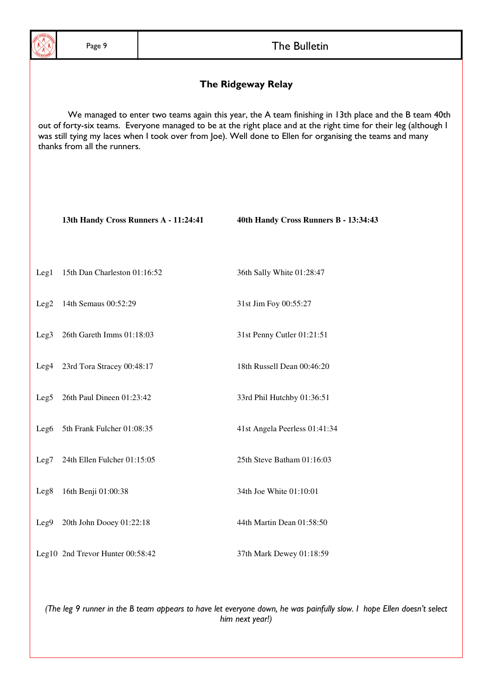#### The Ridgeway Relay

We managed to enter two teams again this year, the A team finishing in 13th place and the B team 40th out of forty-six teams. Everyone managed to be at the right place and at the right time for their leg (although I was still tying my laces when I took over from Joe). Well done to Ellen for organising the teams and many thanks from all the runners.

|                  | 13th Handy Cross Runners A - 11:24:41 | 40th Handy Cross Runners B - 13:34:43 |
|------------------|---------------------------------------|---------------------------------------|
| Leg <sub>1</sub> | 15th Dan Charleston 01:16:52          | 36th Sally White 01:28:47             |
|                  | Leg2 14th Semaus 00:52:29             | 31st Jim Foy 00:55:27                 |
| Leg <sub>3</sub> | 26th Gareth Imms 01:18:03             | 31st Penny Cutler 01:21:51            |
|                  | Leg4 23rd Tora Stracey 00:48:17       | 18th Russell Dean 00:46:20            |
|                  | Leg5 26th Paul Dineen 01:23:42        | 33rd Phil Hutchby 01:36:51            |
|                  | Leg6 5th Frank Fulcher 01:08:35       | 41st Angela Peerless 01:41:34         |
|                  | Leg7 24th Ellen Fulcher 01:15:05      | 25th Steve Batham 01:16:03            |
| Leg8             | 16th Benji 01:00:38                   | 34th Joe White 01:10:01               |
| Leg9             | 20th John Dooey 01:22:18              | 44th Martin Dean 01:58:50             |
|                  | Leg10 2nd Trevor Hunter 00:58:42      | 37th Mark Dewey 01:18:59              |

(The leg 9 runner in the B team appears to have let everyone down, he was painfully slow. I hope Ellen doesn't select him next year!)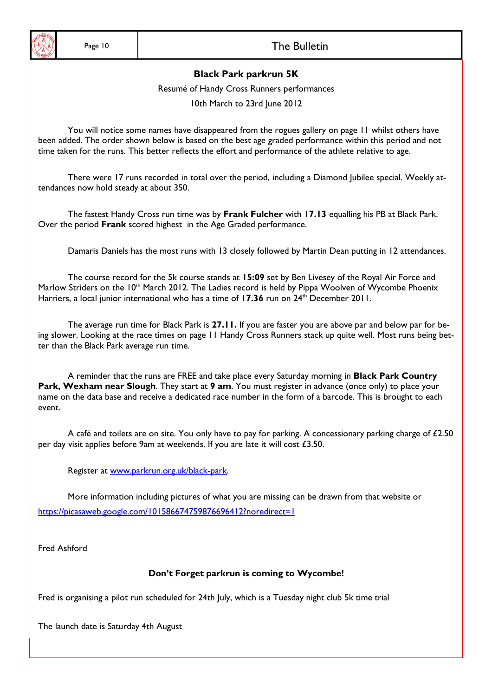

#### **Black Park parkrun 5K**

Resumé of Handy Cross Runners performances

10th March to 23rd June 2012

You will notice some names have disappeared from the rogues gallery on page 11 whilst others have been added. The order shown below is based on the best age graded performance within this period and not time taken for the runs. This better reflects the effort and performance of the athlete relative to age.

There were 17 runs recorded in total over the period, including a Diamond Jubilee special. Weekly attendances now hold steady at about 350.

The fastest Handy Cross run time was by Frank Fulcher with 17.13 equalling his PB at Black Park. Over the period Frank scored highest in the Age Graded performance.

Damaris Daniels has the most runs with 13 closely followed by Martin Dean putting in 12 attendances.

The course record for the 5k course stands at 15:09 set by Ben Livesey of the Royal Air Force and Marlow Striders on the 10<sup>th</sup> March 2012. The Ladies record is held by Pippa Woolven of Wycombe Phoenix Harriers, a local junior international who has a time of 17.36 run on 24<sup>th</sup> December 2011.

The average run time for Black Park is 27.11. If you are faster you are above par and below par for being slower. Looking at the race times on page 11 Handy Cross Runners stack up quite well. Most runs being better than the Black Park average run time.

A reminder that the runs are FREE and take place every Saturday morning in Black Park Country Park, Wexham near Slough. They start at 9 am. You must register in advance (once only) to place your name on the data base and receive a dedicated race number in the form of a barcode. This is brought to each event.

A café and toilets are on site. You only have to pay for parking. A concessionary parking charge of £2.50 per day visit applies before 9am at weekends. If you are late it will cost £3.50.

Register at www.parkrun.org.uk/black-park.

More information including pictures of what you are missing can be drawn from that website or https://picasaweb.google.com/101586674759876696412?noredirect=1

Fred Ashford

#### Don't Forget parkrun is coming to Wycombe!

Fred is organising a pilot run scheduled for 24th July, which is a Tuesday night club 5k time trial

The launch date is Saturday 4th August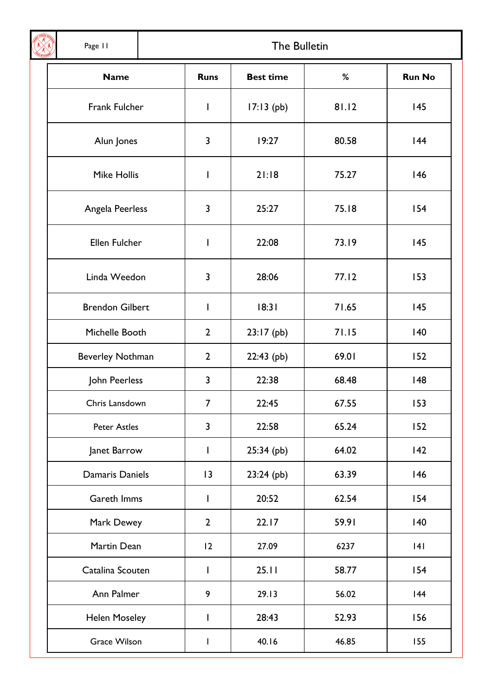Page 11

 $\mathbf{I}$ 

## The Bulletin

| <b>Name</b>             | <b>Runs</b>    | <b>Best time</b> | %     | <b>Run No</b> |
|-------------------------|----------------|------------------|-------|---------------|
| Frank Fulcher           | $\mathsf{I}$   | $17:13$ (pb)     | 81.12 | 145           |
| Alun Jones              | 3              | 19:27            | 80.58 | 44            |
| <b>Mike Hollis</b>      | I              | 21:18            | 75.27 | 146           |
| Angela Peerless         | 3              | 25:27            | 75.18 | 154           |
| Ellen Fulcher           | I              | 22:08            | 73.19 | 145           |
| Linda Weedon            | 3              | 28:06            | 77.12 | 153           |
| <b>Brendon Gilbert</b>  | I              | 18:31            | 71.65 | 145           |
| Michelle Booth          | $\overline{2}$ | $23:17$ (pb)     | 71.15 | 140           |
| <b>Beverley Nothman</b> | $\overline{2}$ | $22:43$ (pb)     | 69.01 | 152           |
| John Peerless           | 3              | 22:38            | 68.48 | 48            |
| Chris Lansdown          | $\overline{7}$ | 22:45            | 67.55 | 153           |
| <b>Peter Astles</b>     | 3              | 22:58            | 65.24 | 152           |
| Janet Barrow            | I              | $25:34$ (pb)     | 64.02 | 42            |
| Damaris Daniels         | 3              | $23:24$ (pb)     | 63.39 | 146           |
| Gareth Imms             | I              | 20:52            | 62.54 | 154           |
| Mark Dewey              | $\overline{2}$ | 22.17            | 59.91 | 140           |
| Martin Dean             | 12             | 27.09            | 6237  | 4             |
| Catalina Scouten        | L              | 25.11            | 58.77 | 154           |
| Ann Palmer              | 9              | 29.13            | 56.02 | 44            |
| <b>Helen Moseley</b>    | $\mathsf{I}$   | 28:43            | 52.93 | 156           |
| <b>Grace Wilson</b>     | T              | 40.16            | 46.85 | 155           |